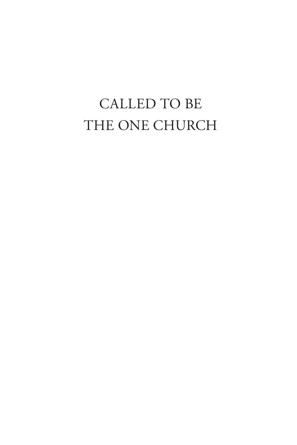## CALLED TO BE THE ONE CHURCH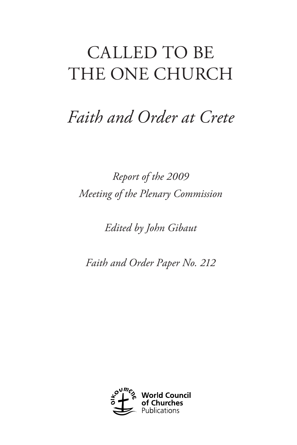# CALLED TO BE THE ONE CHURCH

## *Faith and Order at Crete*

*Report of the 2009 Meeting of the Plenary Commission*

*Edited by John Gibaut*

*Faith and Order Paper No. 212*

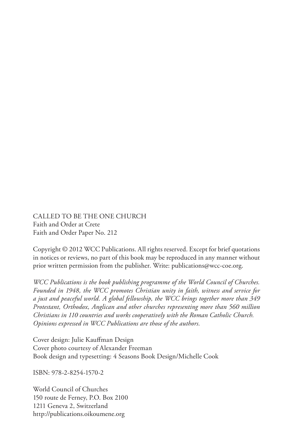CALLED TO BE THE ONE CHURCH Faith and Order at Crete Faith and Order Paper No. 212

Copyright © 2012 WCC Publications. All rights reserved. Except for brief quotations in notices or reviews, no part of this book may be reproduced in any manner without prior written permission from the publisher. Write: [publications@wcc-coe.org](mailto:publications@wcc-coe.org).

*WCC Publications is the book publishing programme of the World Council of Churches. Founded in 1948, the WCC promotes Christian unity in faith, witness and service for a just and peaceful world. A global fellowship, the WCC brings together more than 349 Protestant, Orthodox, Anglican and other churches representing more than 560 million Christians in 110 countries and works cooperatively with the Roman Catholic Church. Opinions expressed in WCC Publications are those of the authors.*

Cover design: Julie Kauffman Design Cover photo courtesy of Alexander Freeman Book design and typesetting: 4 Seasons Book Design/Michelle Cook

ISBN: 978-2-8254-1570-2

World Council of Churches 150 route de Ferney, P.O. Box 2100 1211 Geneva 2, Switzerland http://publications.oikoumene.org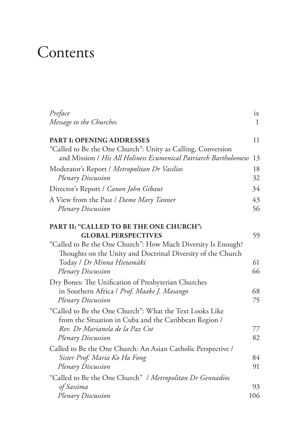## **Contents**

| Preface                                                                                                                                             | ix       |
|-----------------------------------------------------------------------------------------------------------------------------------------------------|----------|
| Message to the Churches                                                                                                                             | 1        |
| <b>PART I: OPENING ADDRESSES</b>                                                                                                                    | 11       |
| "Called to Be the One Church": Unity as Calling, Conversion<br>and Mission / His All Holiness Ecumenical Patriarch Bartholomew                      | 13       |
| Moderator's Report / Metropolitan Dr Vasilios<br>Plenary Discussion                                                                                 | 18<br>32 |
| Director's Report / Canon John Gibaut                                                                                                               | 34       |
| A View from the Past / Dame Mary Tanner<br><b>Plenary Discussion</b>                                                                                | 43<br>56 |
| PART II: "CALLED TO BE THE ONE CHURCH":<br><b>GLOBAL PERSPECTIVES</b><br>"Called to Be the One Church": How Much Diversity Is Enough?               | 59       |
| Thoughts on the Unity and Doctrinal Diversity of the Church<br>Today / Dr Minna Hietamäki<br>Plenary Discussion                                     | 61<br>66 |
| Dry Bones: The Unification of Presbyterian Churches<br>in Southern Africa / Prof. Maake J. Masango<br>Plenary Discussion                            | 68<br>75 |
| "Called to Be the One Church": What the Text Looks Like<br>from the Situation in Cuba and the Caribbean Region /<br>Rev. Dr Marianela de la Paz Cot | 77       |
| Plenary Discussion                                                                                                                                  | 82       |
| Called to Be the One Church: An Asian Catholic Perspective /<br>Sister Prof. Maria Ko Ha Fong<br>Plenary Discussion                                 | 84<br>91 |
| "Called to Be the One Church" / Metropolitan Dr Gennadios                                                                                           |          |
| of Sassima                                                                                                                                          | 93       |
| Plenary Discussion                                                                                                                                  | 106      |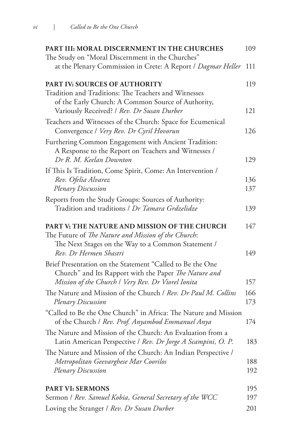| PART III: MORAL DISCERNMENT IN THE CHURCHES                                                                                             | 109        |
|-----------------------------------------------------------------------------------------------------------------------------------------|------------|
| The Study on "Moral Discernment in the Churches"                                                                                        |            |
| at the Plenary Commission in Crete: A Report / Dagmar Heller                                                                            | 111        |
| <b>PART IV: SOURCES OF AUTHORITY</b>                                                                                                    | 119        |
| Tradition and Traditions: The Teachers and Witnesses                                                                                    |            |
| of the Early Church: A Common Source of Authority,<br>Variously Received? / Rev. Dr Susan Durber                                        | 121        |
| Teachers and Witnesses of the Church: Space for Ecumenical<br>Convergence / Very Rev. Dr Cyril Hovorun                                  | 126        |
| Furthering Common Engagement with Ancient Tradition:<br>A Response to the Report on Teachers and Witnesses /<br>Dr R. M. Keelan Downton | 129        |
|                                                                                                                                         |            |
| If This Is Tradition, Come Spirit, Come: An Intervention /<br>Rev. Ofelia Alvarez                                                       | 136        |
| Plenary Discussion                                                                                                                      | 137        |
| Reports from the Study Groups: Sources of Authority:                                                                                    |            |
| Tradition and traditions / Dr Tamara Grdzelidze                                                                                         | 139        |
| <b>PART V: THE NATURE AND MISSION OF THE CHURCH</b><br>The Future of The Nature and Mission of the Church:                              | 147        |
| The Next Stages on the Way to a Common Statement /<br>Rev. Dr Hermen Shastri                                                            | 149        |
| Brief Presentation on the Statement "Called to Be the One<br>Church" and Its Rapport with the Paper The Nature and                      |            |
| Mission of the Church   Very Rev. Dr Viorel Ionita                                                                                      | 157        |
| The Nature and Mission of the Church / Rev. Dr Paul M. Collins<br>Plenary Discussion                                                    | 166<br>173 |
| "Called to Be the One Church" in Africa: The Nature and Mission<br>of the Church / Rev. Prof. Anyambod Emmanuel Anya                    | 174        |
| The Nature and Mission of the Church: An Evaluation from a<br>Latin American Perspective / Rev. Dr Jorge A Scampini, O. P.              | 183        |
| The Nature and Mission of the Church: An Indian Perspective /<br>Metropolitan Geevarghese Mar Coorilos                                  | 188        |
| Plenary Discussion                                                                                                                      | 192        |
| <b>PART VI: SERMONS</b>                                                                                                                 | 195        |
| Sermon / Rev. Samuel Kobia, General Secretary of the WCC                                                                                | 197        |
| Loving the Stranger / Rev. Dr Susan Durber                                                                                              | 201        |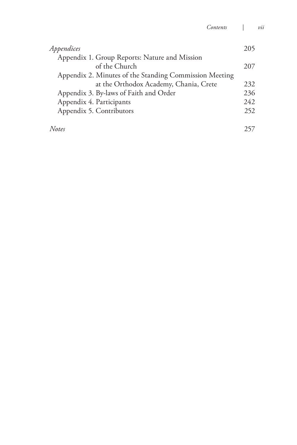| Appendices                                             | 205  |
|--------------------------------------------------------|------|
| Appendix 1. Group Reports: Nature and Mission          |      |
| of the Church                                          | 207  |
| Appendix 2. Minutes of the Standing Commission Meeting |      |
| at the Orthodox Academy, Chania, Crete                 | 232  |
| Appendix 3. By-laws of Faith and Order                 | 236  |
| Appendix 4. Participants                               | 2.42 |
| Appendix 5. Contributors                               | 252  |
| Notes                                                  |      |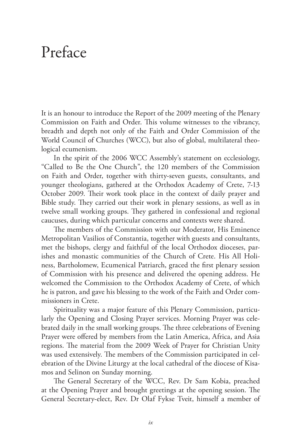### Preface

It is an honour to introduce the Report of the 2009 meeting of the Plenary Commission on Faith and Order. This volume witnesses to the vibrancy, breadth and depth not only of the Faith and Order Commission of the World Council of Churches (WCC), but also of global, multilateral theological ecumenism.

In the spirit of the 2006 WCC Assembly's statement on ecclesiology, "Called to Be the One Church", the 120 members of the Commission on Faith and Order, together with thirty-seven guests, consultants, and younger theologians, gathered at the Orthodox Academy of Crete, 7-13 October 2009. Their work took place in the context of daily prayer and Bible study. They carried out their work in plenary sessions, as well as in twelve small working groups. They gathered in confessional and regional caucuses, during which particular concerns and contexts were shared.

The members of the Commission with our Moderator, His Eminence Metropolitan Vasilios of Constantia, together with guests and consultants, met the bishops, clergy and faithful of the local Orthodox dioceses, parishes and monastic communities of the Church of Crete. His All Holiness, Bartholomew, Ecumenical Patriarch, graced the first plenary session of Commission with his presence and delivered the opening address. He welcomed the Commission to the Orthodox Academy of Crete, of which he is patron, and gave his blessing to the work of the Faith and Order commissioners in Crete.

Spirituality was a major feature of this Plenary Commission, particularly the Opening and Closing Prayer services. Morning Prayer was celebrated daily in the small working groups. The three celebrations of Evening Prayer were offered by members from the Latin America, Africa, and Asia regions. The material from the 2009 Week of Prayer for Christian Unity was used extensively. The members of the Commission participated in celebration of the Divine Liturgy at the local cathedral of the diocese of Kisamos and Selinon on Sunday morning.

The General Secretary of the WCC, Rev. Dr Sam Kobia, preached at the Opening Prayer and brought greetings at the opening session. The General Secretary-elect, Rev. Dr Olaf Fykse Tveit, himself a member of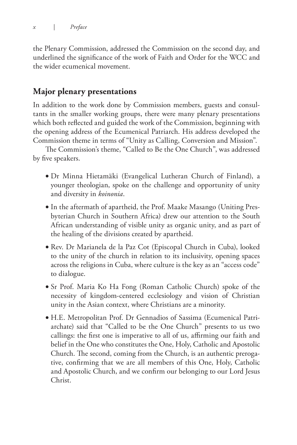the Plenary Commission, addressed the Commission on the second day, and underlined the significance of the work of Faith and Order for the WCC and the wider ecumenical movement.

### **Major plenary presentations**

In addition to the work done by Commission members, guests and consultants in the smaller working groups, there were many plenary presentations which both reflected and guided the work of the Commission, beginning with the opening address of the Ecumenical Patriarch. His address developed the Commission theme in terms of "Unity as Calling, Conversion and Mission".

The Commission's theme, "Called to Be the One Church", was addressed by five speakers.

- Dr Minna Hietamäki (Evangelical Lutheran Church of Finland), a younger theologian, spoke on the challenge and opportunity of unity and diversity in *koinonia*.
- In the aftermath of apartheid, the Prof. Maake Masango (Uniting Presbyterian Church in Southern Africa) drew our attention to the South African understanding of visible unity as organic unity, and as part of the healing of the divisions created by apartheid.
- Rev. Dr Marianela de la Paz Cot (Episcopal Church in Cuba), looked to the unity of the church in relation to its inclusivity, opening spaces across the religions in Cuba, where culture is the key as an "access code" to dialogue.
- Sr Prof. Maria Ko Ha Fong (Roman Catholic Church) spoke of the necessity of kingdom-centered ecclesiology and vision of Christian unity in the Asian context, where Christians are a minority.
- H.E. Metropolitan Prof. Dr Gennadios of Sassima (Ecumenical Patriarchate) said that "Called to be the One Church" presents to us two callings: the first one is imperative to all of us, affirming our faith and belief in the One who constitutes the One, Holy, Catholic and Apostolic Church. The second, coming from the Church, is an authentic prerogative, confirming that we are all members of this One, Holy, Catholic and Apostolic Church, and we confirm our belonging to our Lord Jesus Christ.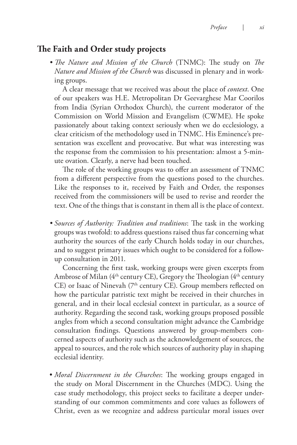#### **The Faith and Order study projects**

*• The Nature and Mission of the Church* (TNMC): The study on *The Nature and Mission of the Church* was discussed in plenary and in working groups.

A clear message that we received was about the place of *context*. One of our speakers was H.E. Metropolitan Dr Geevarghese Mar Coorilos from India (Syrian Orthodox Church), the current moderator of the Commission on World Mission and Evangelism (CWME). He spoke passionately about taking context seriously when we do ecclesiology, a clear criticism of the methodology used in TNMC. His Eminence's presentation was excellent and provocative. But what was interesting was the response from the commission to his presentation: almost a 5-minute ovation. Clearly, a nerve had been touched.

The role of the working groups was to offer an assessment of TNMC from a different perspective from the questions posed to the churches. Like the responses to it, received by Faith and Order, the responses received from the commissioners will be used to revise and reorder the text. One of the things that is constant in them all is the place of context.

*• Sources of Authority: Tradition and traditions*: The task in the working groups was twofold: to address questions raised thus far concerning what authority the sources of the early Church holds today in our churches, and to suggest primary issues which ought to be considered for a followup consultation in 2011.

Concerning the first task, working groups were given excerpts from Ambrose of Milan (4<sup>th</sup> century CE), Gregory the Theologian (4<sup>th</sup> century CE) or Isaac of Ninevah (7<sup>th</sup> century CE). Group members reflected on how the particular patristic text might be received in their churches in general, and in their local ecclesial context in particular, as a source of authority. Regarding the second task, working groups proposed possible angles from which a second consultation might advance the Cambridge consultation findings. Questions answered by group-members concerned aspects of authority such as the acknowledgement of sources, the appeal to sources, and the role which sources of authority play in shaping ecclesial identity.

• *Moral Discernment in the Churches*: The working groups engaged in the study on Moral Discernment in the Churches (MDC). Using the case study methodology, this project seeks to facilitate a deeper understanding of our common commitments and core values as followers of Christ, even as we recognize and address particular moral issues over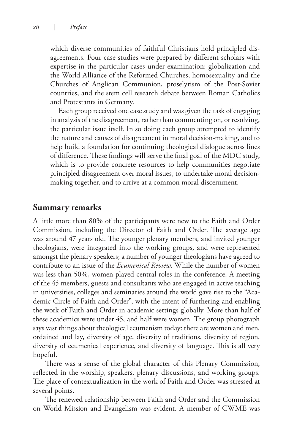which diverse communities of faithful Christians hold principled disagreements. Four case studies were prepared by different scholars with expertise in the particular cases under examination: globalization and the World Alliance of the Reformed Churches, homosexuality and the Churches of Anglican Communion, proselytism of the Post-Soviet countries, and the stem cell research debate between Roman Catholics and Protestants in Germany.

Each group received one case study and was given the task of engaging in analysis of the disagreement, rather than commenting on, or resolving, the particular issue itself. In so doing each group attempted to identify the nature and causes of disagreement in moral decision-making, and to help build a foundation for continuing theological dialogue across lines of difference. These findings will serve the final goal of the MDC study, which is to provide concrete resources to help communities negotiate principled disagreement over moral issues, to undertake moral decisionmaking together, and to arrive at a common moral discernment.

### **Summary remarks**

A little more than 80% of the participants were new to the Faith and Order Commission, including the Director of Faith and Order. The average age was around 47 years old. The younger plenary members, and invited younger theologians, were integrated into the working groups, and were represented amongst the plenary speakers; a number of younger theologians have agreed to contribute to an issue of the *Ecumenical Review*. While the number of women was less than 50%, women played central roles in the conference. A meeting of the 45 members, guests and consultants who are engaged in active teaching in universities, colleges and seminaries around the world gave rise to the "Academic Circle of Faith and Order", with the intent of furthering and enabling the work of Faith and Order in academic settings globally. More than half of these academics were under 45, and half were women. The group photograph says vast things about theological ecumenism today: there are women and men, ordained and lay, diversity of age, diversity of traditions, diversity of region, diversity of ecumenical experience, and diversity of language. This is all very hopeful.

There was a sense of the global character of this Plenary Commission, reflected in the worship, speakers, plenary discussions, and working groups. The place of contextualization in the work of Faith and Order was stressed at several points.

The renewed relationship between Faith and Order and the Commission on World Mission and Evangelism was evident. A member of CWME was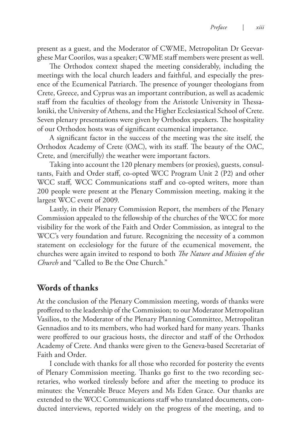present as a guest, and the Moderator of CWME, Metropolitan Dr Geevarghese Mar Coorilos, was a speaker; CWME staff members were present as well.

The Orthodox context shaped the meeting considerably, including the meetings with the local church leaders and faithful, and especially the presence of the Ecumenical Patriarch. The presence of younger theologians from Crete, Greece, and Cyprus was an important contribution, as well as academic staff from the faculties of theology from the Aristotle University in Thessaloniki, the University of Athens, and the Higher Ecclesiastical School of Crete. Seven plenary presentations were given by Orthodox speakers. The hospitality of our Orthodox hosts was of significant ecumenical importance.

A significant factor in the success of the meeting was the site itself, the Orthodox Academy of Crete (OAC), with its staff. The beauty of the OAC, Crete, and (mercifully) the weather were important factors.

Taking into account the 120 plenary members (or proxies), guests, consultants, Faith and Order staff, co-opted WCC Program Unit 2 (P2) and other WCC staff, WCC Communications staff and co-opted writers, more than 200 people were present at the Plenary Commission meeting, making it the largest WCC event of 2009.

Lastly, in their Plenary Commission Report, the members of the Plenary Commission appealed to the fellowship of the churches of the WCC for more visibility for the work of the Faith and Order Commission, as integral to the WCC's very foundation and future. Recognizing the necessity of a common statement on ecclesiology for the future of the ecumenical movement, the churches were again invited to respond to both *The Nature and Mission of the Church* and "Called to Be the One Church."

### **Words of thanks**

At the conclusion of the Plenary Commission meeting, words of thanks were proffered to the leadership of the Commission; to our Moderator Metropolitan Vasilios, to the Moderator of the Plenary Planning Committee, Metropolitan Gennadios and to its members, who had worked hard for many years. Thanks were proffered to our gracious hosts, the director and staff of the Orthodox Academy of Crete. And thanks were given to the Geneva-based Secretariat of Faith and Order.

I conclude with thanks for all those who recorded for posterity the events of Plenary Commission meeting. Thanks go first to the two recording secretaries, who worked tirelessly before and after the meeting to produce its minutes: the Venerable Bruce Meyers and Ms Eden Grace. Our thanks are extended to the WCC Communications staff who translated documents, conducted interviews, reported widely on the progress of the meeting, and to